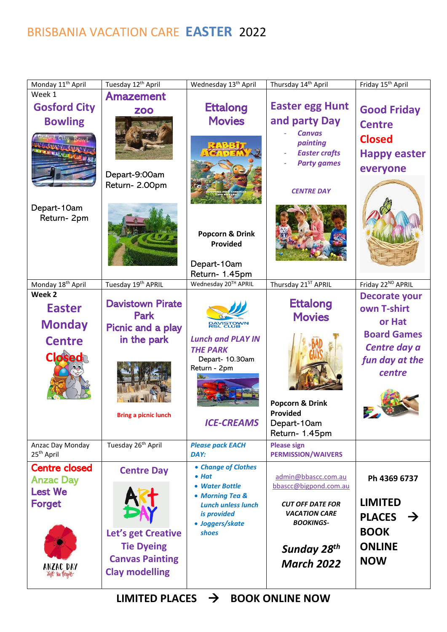## BRISBANIA VACATION CARE **EASTER** 2022

| Monday 11 <sup>th</sup> April              | Tuesday 12 <sup>th</sup> April | Wednesday 13 <sup>th</sup> April  | Thursday 14th April                             | Friday 15 <sup>th</sup> April  |
|--------------------------------------------|--------------------------------|-----------------------------------|-------------------------------------------------|--------------------------------|
| Week 1                                     | <b>Amazement</b>               |                                   |                                                 |                                |
| <b>Gosford City</b>                        | <b>ZOO</b>                     | <b>Ettalong</b>                   | <b>Easter egg Hunt</b>                          | <b>Good Friday</b>             |
| <b>Bowling</b>                             |                                | <b>Movies</b>                     | and party Day                                   | <b>Centre</b>                  |
|                                            |                                |                                   | <b>Canvas</b>                                   |                                |
|                                            |                                |                                   | painting                                        | <b>Closed</b>                  |
|                                            |                                |                                   | <b>Easter crafts</b><br><b>Party games</b>      | <b>Happy easter</b>            |
|                                            | Depart-9:00am                  |                                   |                                                 | everyone                       |
|                                            | Return- 2.00pm                 |                                   |                                                 |                                |
|                                            |                                |                                   | <b>CENTRE DAY</b>                               |                                |
| Depart-10am                                |                                |                                   |                                                 |                                |
| Return-2pm                                 |                                |                                   |                                                 |                                |
|                                            |                                | Popcorn & Drink                   |                                                 |                                |
|                                            |                                | Provided                          |                                                 |                                |
|                                            |                                | Depart-10am                       |                                                 |                                |
|                                            |                                | Return- 1.45pm                    |                                                 |                                |
| Monday 18 <sup>th</sup> April              | Tuesday 19th APRIL             | Wednesday 20TH APRIL              | Thursday 21ST APRIL                             | Friday 22 <sup>ND</sup> APRIL  |
| Week 2                                     | <b>Davistown Pirate</b>        |                                   |                                                 | <b>Decorate your</b>           |
| <b>Easter</b>                              | <b>Park</b>                    |                                   | <b>Ettalong</b>                                 | own T-shirt                    |
| <b>Monday</b>                              | Picnic and a play              | <b>RAYISTOWN</b>                  | <b>Movies</b>                                   | or Hat                         |
| <b>Centre</b>                              | in the park                    | <b>Lunch and PLAY IN</b>          |                                                 | <b>Board Games</b>             |
|                                            |                                | <b>THE PARK</b>                   |                                                 | Centre day a                   |
| Closed                                     |                                | Depart- 10.30am                   |                                                 | fun day at the                 |
|                                            |                                | Return - 2pm                      |                                                 | centre                         |
|                                            |                                |                                   |                                                 |                                |
|                                            |                                |                                   | Popcorn & Drink                                 |                                |
|                                            | <b>Bring a picnic lunch</b>    |                                   | Provided                                        |                                |
|                                            |                                | <b>ICE-CREAMS</b>                 | Depart-10am                                     |                                |
|                                            |                                |                                   | Return- 1.45pm                                  |                                |
| Anzac Day Monday<br>25 <sup>th</sup> April | Tuesday 26 <sup>th</sup> April | <b>Please pack EACH</b><br>DAY:   | <b>Please sign</b><br><b>PERMISSION/WAIVERS</b> |                                |
| <b>Centre closed</b>                       | <b>Centre Day</b>              | • Change of Clothes               |                                                 |                                |
| <b>Anzac Day</b>                           |                                | $\bullet$ Hat                     | admin@bbascc.com.au                             | Ph 4369 6737                   |
| <b>Lest We</b>                             |                                | • Water Bottle<br>• Morning Tea & | bbascc@bigpond.com.au                           |                                |
| <b>Forget</b>                              |                                | <b>Lunch unless lunch</b>         | <b>CUT OFF DATE FOR</b>                         | <b>LIMITED</b>                 |
|                                            |                                | is provided                       | <b>VACATION CARE</b>                            | <b>PLACES</b><br>$\rightarrow$ |
|                                            | Let's get Creative             | • Joggers/skate<br>shoes          | <b>BOOKINGS-</b>                                | <b>BOOK</b>                    |
|                                            | <b>Tie Dyeing</b>              |                                   |                                                 | <b>ONLINE</b>                  |
|                                            | <b>Canvas Painting</b>         |                                   | Sunday 28 <sup>th</sup>                         | <b>NOW</b>                     |
| ANZAC DAY<br>Left We forget                | <b>Clay modelling</b>          |                                   | <b>March 2022</b>                               |                                |
|                                            |                                |                                   |                                                 |                                |

**LIMITED PLACES** → **BOOK ONLINE NOW**